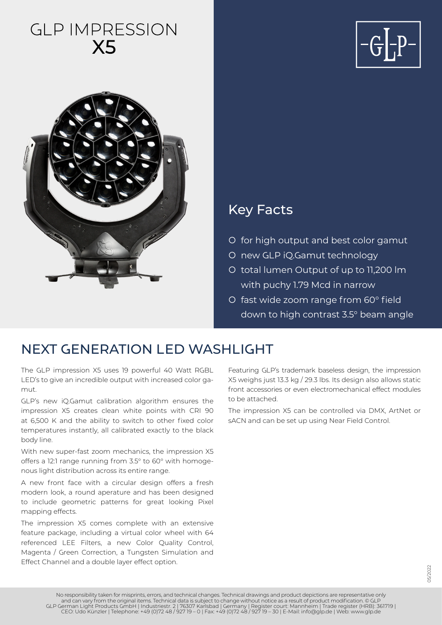# **GLP IMPRESSION X5**





### Key Facts

- { for high output and best color gamut
- { new GLP iQ.Gamut technology
- { total lumen Output of up to 11,200 lm with puchy 1.79 Mcd in narrow
- { fast wide zoom range from 60° field down to high contrast 3.5° beam angle

### NEXT GENERATION LED WASHLIGHT

The GLP impression X5 uses 19 powerful 40 Watt RGBL LED's to give an incredible output with increased color gamut.

GLP's new iQ.Gamut calibration algorithm ensures the impression X5 creates clean white points with CRI 90 at 6,500 K and the ability to switch to other fixed color temperatures instantly, all calibrated exactly to the black body line.

With new super-fast zoom mechanics, the impression X5 offers a 12:1 range running from 3.5° to 60° with homogenous light distribution across its entire range.

A new front face with a circular design offers a fresh modern look, a round aperature and has been designed to include geometric patterns for great looking Pixel mapping effects.

The impression X5 comes complete with an extensive feature package, including a virtual color wheel with 64 referenced LEE Filters, a new Color Quality Control, Magenta / Green Correction, a Tungsten Simulation and Effect Channel and a double layer effect option.

Featuring GLP's trademark baseless design, the impression X5 weighs just 13.3 kg / 29.3 lbs. Its design also allows static front accessories or even electromechanical effect modules to be attached.

The impression X5 can be controlled via DMX, ArtNet or sACN and can be set up using Near Field Control.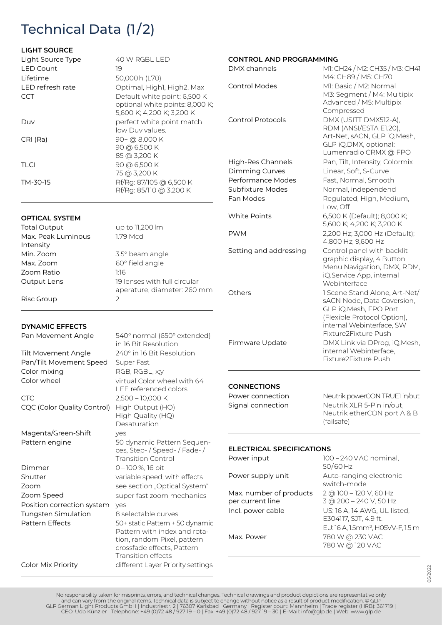# Technical Data (1/2)

#### **LIGHT SOURCE**

Color Mix Priority

| Light Source Type                             | 40 W RGBL LED                                                | <b>CONTROL AND PROGRAMMING</b>   |                                                       |
|-----------------------------------------------|--------------------------------------------------------------|----------------------------------|-------------------------------------------------------|
| <b>LED Count</b><br>Lifetime                  | 19<br>50,000h (L70)                                          | DMX channels                     | M1: CH24 / M2: CH35 / M3: CH41<br>M4: CH89 / M5: CH70 |
| LED refresh rate                              | Optimal, Highl, High2, Max                                   | <b>Control Modes</b>             | M1: Basic / M2: Normal                                |
| <b>CCT</b>                                    | Default white point: 6,500 K                                 |                                  | M3: Segment / M4: Multipix                            |
|                                               | optional white points: 8,000 K;<br>5,600 K; 4,200 K; 3,200 K |                                  | Advanced / M5: Multipix<br>Compressed                 |
| Duv                                           | perfect white point match<br>low Duv values.                 | <b>Control Protocols</b>         | DMX (USITT DMX512-A),<br>RDM (ANSI/ESTA E1.20),       |
| CRI (Ra)                                      | 90+ @ 8,000 K<br>90 @ 6,500 K                                |                                  | Art-Net, sACN, GLP iQ.Mesh,<br>GLP iQ.DMX, optional:  |
|                                               | 85 @ 3,200 K                                                 |                                  | Lumenradio CRMX @ FPO                                 |
| <b>TLCI</b>                                   | 90 @ 6,500 K                                                 | High-Res Channels                | Pan, Tilt, Intensity, Colormix                        |
|                                               | 75 @ 3,200 K                                                 | Dimming Curves                   | Linear, Soft, S-Curve                                 |
| TM-30-15                                      | Rf/Rg: 87/105 @ 6,500 K                                      | Performance Modes                | Fast, Normal, Smooth                                  |
|                                               | Rf/Rg: 85/110 @ 3,200 K                                      | Subfixture Modes                 | Normal, independend                                   |
|                                               |                                                              | Fan Modes                        | Regulated, High, Medium,<br>Low, Off                  |
|                                               |                                                              | White Points                     | 6,500 K (Default); 8,000 K;                           |
| <b>OPTICAL SYSTEM</b>                         |                                                              |                                  | 5,600 K; 4,200 K; 3,200 K                             |
| <b>Total Output</b>                           | up to 11,200 lm                                              | <b>PWM</b>                       | 2,200 Hz; 3,000 Hz (Default);                         |
| Max. Peak Luminous<br>Intensity               | 1.79 Mcd                                                     |                                  | 4,800 Hz; 9,600 Hz                                    |
| Min. Zoom                                     | 3.5° beam angle                                              | Setting and addressing           | Control panel with backlit                            |
| Max. Zoom                                     | 60° field angle                                              |                                  | graphic display, 4 Button                             |
| Zoom Ratio                                    | 1:16                                                         |                                  | Menu Navigation, DMX, RDM,                            |
| Output Lens                                   | 19 lenses with full circular                                 |                                  | iQ.Service App, internal<br>Webinterface              |
|                                               | aperature, diameter: 260 mm                                  | Others                           | 1 Scene Stand Alone, Art-Net/                         |
| Risc Group                                    | 2                                                            |                                  | sACN Node, Data Coversion,                            |
|                                               |                                                              |                                  | GLP iQ.Mesh, FPO Port                                 |
|                                               |                                                              |                                  | (Flexible Protocol Option),                           |
| <b>DYNAMIC EFFECTS</b>                        |                                                              |                                  | internal Webinterface, SW                             |
| Pan Movement Angle                            | 540° normal (650° extended)                                  |                                  | Fixture2Fixture Push                                  |
|                                               | in 16 Bit Resolution                                         | Firmware Update                  | DMX Link via DProg, iQ.Mesh,                          |
| Tilt Movement Angle                           | 240° in 16 Bit Resolution                                    |                                  | internal Webinterface,                                |
| Pan/Tilt Movement Speed                       | Super Fast                                                   |                                  | Fixture2Fixture Push                                  |
| Color mixing                                  | RGB, RGBL, x;y                                               |                                  |                                                       |
| Color wheel                                   | virtual Color wheel with 64                                  | <b>CONNECTIONS</b>               |                                                       |
|                                               | LEE referenced colors                                        | Power connection                 | Neutrik powerCON TRUE1 in/out                         |
| <b>CTC</b>                                    | 2,500 - 10,000 K                                             | Signal connection                | Neutrik XLR 5-Pin in/out,                             |
| CQC (Color Quality Control)                   | High Output (HO)<br>High Quality (HQ)<br>Desaturation        |                                  | Neutrik etherCON port A & B<br>(failsafe)             |
| Magenta/Green-Shift                           | yes                                                          |                                  |                                                       |
| Pattern engine                                | 50 dynamic Pattern Sequen-                                   |                                  |                                                       |
|                                               | ces, Step- / Speed- / Fade- /                                | <b>ELECTRICAL SPECIFICATIONS</b> |                                                       |
| Dimmer                                        | <b>Transition Control</b><br>0-100%, 16 bit                  | Power input                      | 100 - 240 VAC nominal,<br>50/60 Hz                    |
| Shutter                                       | variable speed, with effects                                 | Power supply unit                | Auto-ranging electronic                               |
| Zoom                                          | see section "Optical System"                                 |                                  | switch-mode                                           |
| Zoom Speed                                    | super fast zoom mechanics                                    | Max. number of products          | 2 @ 100 - 120 V, 60 Hz                                |
| Position correction system                    | yes                                                          | per current line                 | 3 @ 200 - 240 V, 50 Hz                                |
| <b>Tungsten Simulation</b><br>Pattern Effects | 8 selectable curves<br>50+ static Pattern + 50 dynamic       | Incl. power cable                | US: 16 A, 14 AWG, UL listed,<br>E304117, SJT, 4.9 ft. |
|                                               | Pattern with index and rota-                                 |                                  | EU: 16 A, 1.5mm <sup>2</sup> , H05VV-F, 1.5 m         |
|                                               | tion, random Pixel, pattern<br>crossfade effects, Pattern    | Max. Power                       | 780 W @ 230 VAC<br>780 W @ 120 VAC                    |

05/2022

Transition effects

different Layer Priority settings